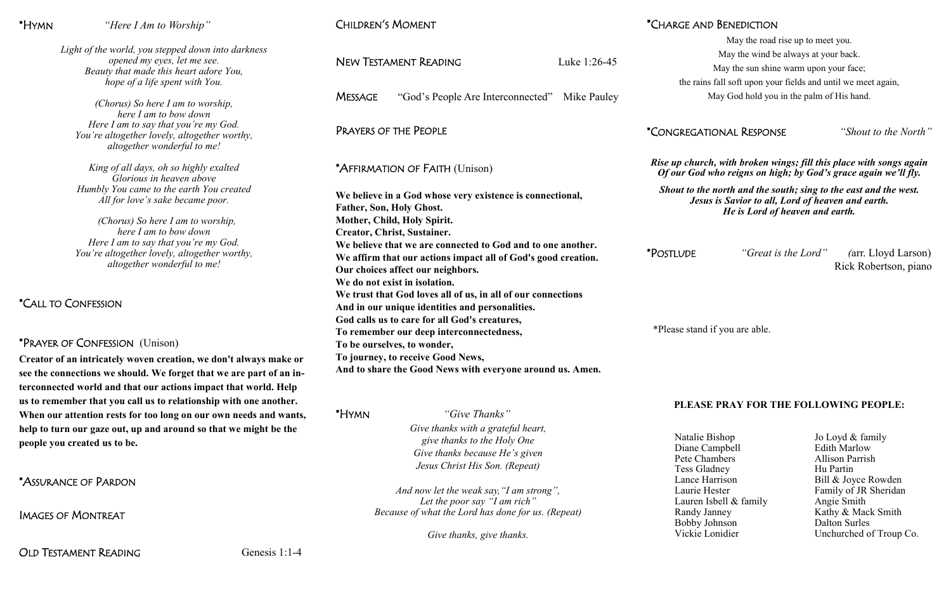|  | *Hymn |  |
|--|-------|--|
|--|-------|--|

*Light of the world, you stepped down into darkness opened my eyes, let me see. Beauty that made this heart adore You, hope of a life spent with You.* 

*(Chorus) So here I am to worship, here I am to bow down Here I am to say that you're my God. You're altogether lovely, altogether worthy, altogether wonderful to me!*

*King of all days, oh so highly exalted Glorious in heaven above Humbly You came to the earth You created All for love's sake became poor.*

 *(Chorus) So here I am to worship, here I am to bow down Here I am to say that you're my God. You're altogether lovely, altogether worthy, altogether wonderful to me!*

\*CALL TO CONFESSION

# \*PRAYER OF CONFESSION (Unison)

**Creator of an intricately woven creation, we don't always make or see the connections we should. We forget that we are part of an interconnected world and that our actions impact that world. Help us to remember that you call us to relationship with one another. When our attention rests for too long on our own needs and wants, help to turn our gaze out, up and around so that we might be the people you created us to be.** 

| <b>NEW TESTAMENT READING</b>                                                                                                                                                                                                                                                     | Luke 1:26-45                       |
|----------------------------------------------------------------------------------------------------------------------------------------------------------------------------------------------------------------------------------------------------------------------------------|------------------------------------|
| <b>MESSAGE</b><br>"God's People Are Interconnected" Mike Pauley                                                                                                                                                                                                                  | the rair                           |
| PRAYERS OF THE PEOPLE                                                                                                                                                                                                                                                            | *CONGREGAT                         |
| *AFFIRMATION OF FAITH (Unison)                                                                                                                                                                                                                                                   | Rise up chure<br><b>Of our God</b> |
| We believe in a God whose very existence is connectional,<br><b>Father, Son, Holy Ghost.</b><br>Mother, Child, Holy Spirit.<br><b>Creator, Christ, Sustainer.</b>                                                                                                                | <b>Shout to th</b><br><b>Jest</b>  |
| We believe that we are connected to God and to one another.<br>We affirm that our actions impact all of God's good creation.<br>Our choices affect our neighbors.<br>We do not exist in isolation.                                                                               | *Postlude                          |
| We trust that God loves all of us, in all of our connections<br>And in our unique identities and personalities.<br>God calls us to care for all God's creatures,<br>To remember our deep interconnectedness,<br>To be ourselves, to wonder,<br>To journey, to receive Good News, | *Please stand                      |
| And to share the Good News with everyone around us. Amen.                                                                                                                                                                                                                        | <b>DI E 1 C</b>                    |

\*ASSURANCE OF PARDON

IMAGES OF MONTREAT

OLD TESTAMENT READING Genesis 1:1-4

CHILDREN'S MOMENT

*Rise up church, with broken wings; fill this place with songs again Who reigns on high; by God's grace again we'll fly.* 

> "*Great is the Lord*" (arr. Lloyd Larson) Rick Robertson, piano

d if you are able.

Harrison Bill & Joyce Rowden Hester Family of JR Sheridan Janney Kathy & Mack Smith Vickie Lonidier Unchurched of Troup Co.

| *Hymn | "Give Thanks"                                                                                                                         |                                         |
|-------|---------------------------------------------------------------------------------------------------------------------------------------|-----------------------------------------|
|       | Give thanks with a grateful heart,<br>give thanks to the Holy One<br>Give thanks because He's given<br>Jesus Christ His Son. (Repeat) | Natalie<br>Diane 0<br>Pete Cl<br>Tess G |
|       | And now let the weak say, "I am strong",<br>Let the poor say "I am rich"<br>Because of what the Lord has done for us. (Repeat)        | Lance 1<br>Laurie<br>Lauren<br>Randy    |
|       | Give thanks, give thanks.                                                                                                             | <b>Bobby</b><br>Vickie                  |

# \*CHARGE AND BENEDICTION

May the road rise up to meet you. May the wind be always at your back. May the sun shine warm upon your face; as fall soft upon your fields and until we meet again, May God hold you in the palm of His hand.

\*CONGREGATIONAL RESPONSE *"Shout to the North"*

*Shout to the north and the south; sing to the east and the west. Jesus is Savior to all, Lord of heaven and earth. He is Lord of heaven and earth.*

#### **PLEASE PRAY FOR THE FOLLOWING PEOPLE:**

Bishop Jo Loyd & family Campbell Edith Marlow hambers Allison Parrish ladney Hu Partin Isbell & family Angie Smith Johnson Dalton Surles